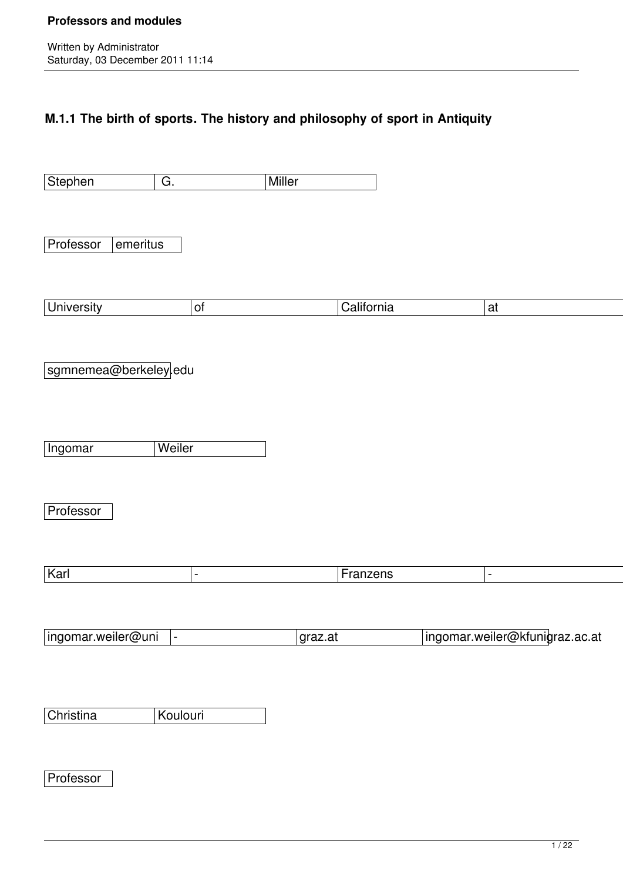## **M.1.1 The birth of sports. The history and philosophy of sport in Antiquity**

| Stephen<br>$\overline{G}$ . | Miller   |            |                                |  |
|-----------------------------|----------|------------|--------------------------------|--|
|                             |          |            |                                |  |
| Professor<br>$ $ emeritus   |          |            |                                |  |
|                             |          |            |                                |  |
| <b>University</b>           | $ $ of   | California | at                             |  |
|                             |          |            |                                |  |
| sgmnemea@berkeley edu       |          |            |                                |  |
|                             |          |            |                                |  |
| Ingomar                     | Weiler   |            |                                |  |
|                             |          |            |                                |  |
| Professor                   |          |            |                                |  |
|                             |          |            |                                |  |
| Karl                        | $\equiv$ | Franzens   | $\blacksquare$                 |  |
|                             |          |            |                                |  |
| ingomar.weiler@uni  -       |          | graz.at    | ingomar.weiler@kfunigraz.ac.at |  |
|                             |          |            |                                |  |
| Christina                   | Koulouri |            |                                |  |
|                             |          |            |                                |  |
| Professor                   |          |            |                                |  |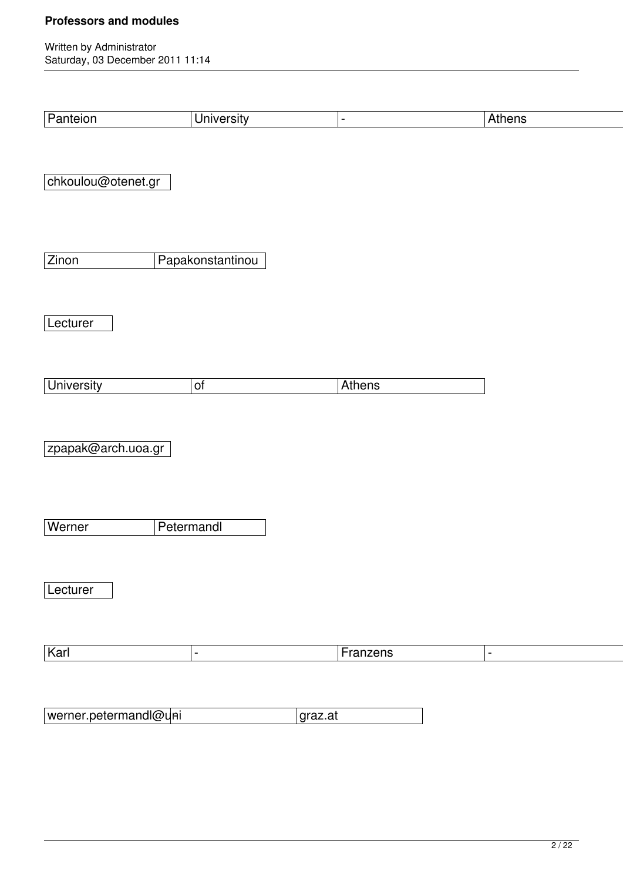|                       | <b>University</b> |                |                |  |
|-----------------------|-------------------|----------------|----------------|--|
| Panteion              |                   | $\blacksquare$ | Athens         |  |
|                       |                   |                |                |  |
| chkoulou@otenet.gr    |                   |                |                |  |
|                       |                   |                |                |  |
|                       |                   |                |                |  |
| Zinon                 | Papakonstantinou  |                |                |  |
|                       |                   |                |                |  |
| Lecturer              |                   |                |                |  |
|                       |                   |                |                |  |
| <b>University</b>     | $\overline{of}$   | Athens         |                |  |
|                       |                   |                |                |  |
|                       |                   |                |                |  |
| zpapak@arch.uoa.gr    |                   |                |                |  |
|                       |                   |                |                |  |
|                       |                   |                |                |  |
| Werner                | Petermandl        |                |                |  |
|                       |                   |                |                |  |
| Lecturer              |                   |                |                |  |
|                       |                   |                |                |  |
| Karl                  |                   | Franzens       | $\blacksquare$ |  |
|                       |                   |                |                |  |
| werner.petermandl@uni |                   |                |                |  |
|                       |                   | graz.at        |                |  |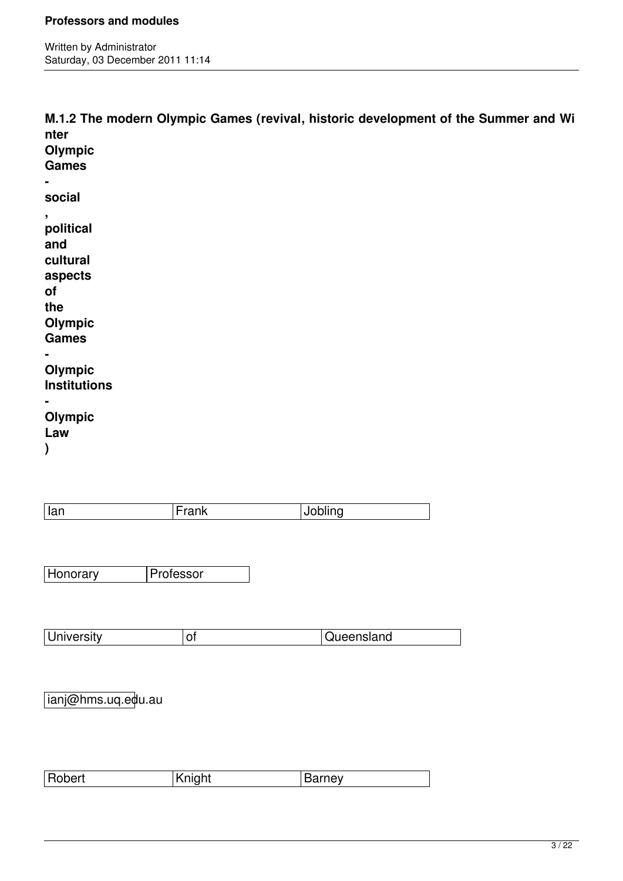Written by Administrator Saturday, 03 December 2011 11:14

**M.1.2 The modern Olympic Games (revival, historic development of the Summer and Wi nter Olympic Games social , political and cultural aspects of the Olympic Games - Olympic Institutions - Olympic Law ) Ian** Frank Jobling Honorary **Professor** 

| University | U. | Queensland |
|------------|----|------------|
|            |    |            |

ianj@hms.uq.edu.au

| $-1$<br><b>robert</b><br>'N. | n<br> | سد<br>--- |
|------------------------------|-------|-----------|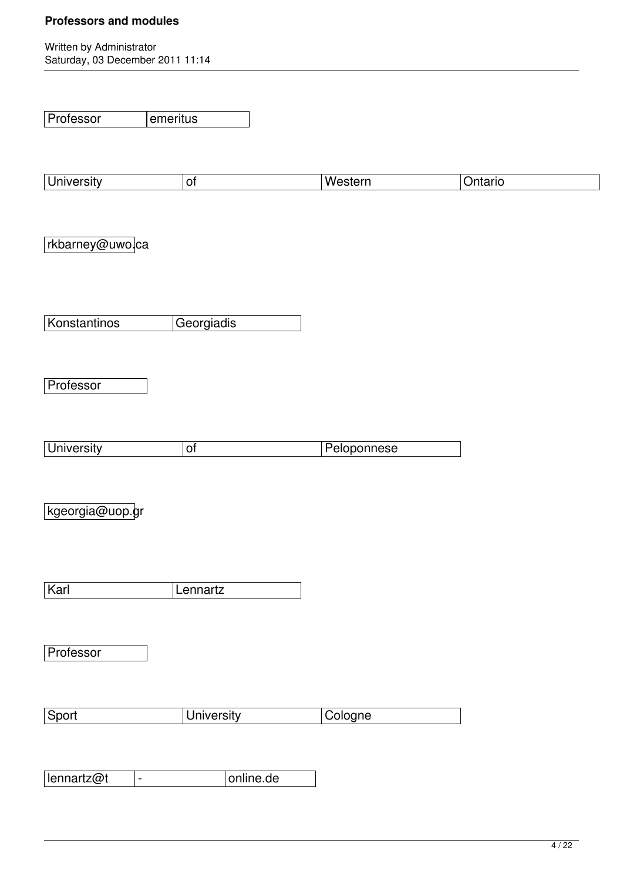| Professor                    | emeritus          |             |         |  |
|------------------------------|-------------------|-------------|---------|--|
| <b>University</b>            | $\overline{of}$   | Western     | Ontario |  |
| rkbarney@uwo.ca              |                   |             |         |  |
| Konstantinos                 | Georgiadis        |             |         |  |
| Professor                    |                   |             |         |  |
| <b>University</b>            | $\overline{of}$   | Peloponnese |         |  |
| kgeorgia@uop.gr              |                   |             |         |  |
| Karl                         | Lennartz          |             |         |  |
| Professor                    |                   |             |         |  |
| Sport                        | <b>University</b> | Cologne     |         |  |
| lennartz@t<br>$\blacksquare$ | online.de         |             |         |  |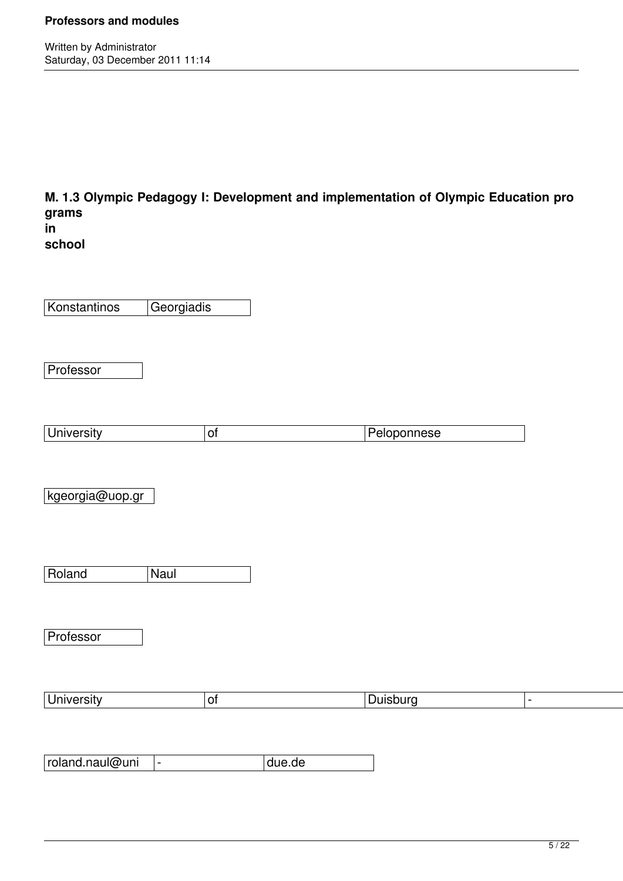Written by Administrator Saturday, 03 December 2011 11:14

**M. 1.3 Olympic Pedagogy I: Development and implementation of Olympic Education pro grams**

| ın     |
|--------|
| school |

Konstantinos Georgiadis

Professor

|  | -<br>$-$<br>.<br>$\sim$ |
|--|-------------------------|
|  |                         |

kgeorgia@uop.gr

Roland Naul

**Professor** 

| . .<br><b>University</b><br><b>uisburc</b> |
|--------------------------------------------|
|--------------------------------------------|

roland.naul@uni - due.de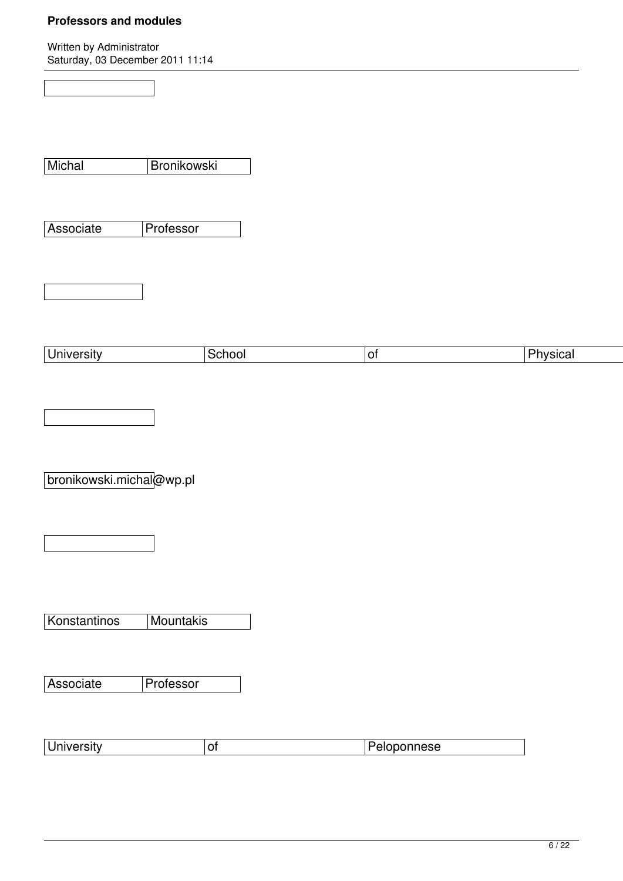| $\frac{1}{2}$            |             |             |  |
|--------------------------|-------------|-------------|--|
|                          |             |             |  |
|                          |             |             |  |
| Michal                   | Bronikowski |             |  |
|                          |             |             |  |
| Associate                | Professor   |             |  |
|                          |             |             |  |
|                          |             |             |  |
|                          |             |             |  |
|                          |             |             |  |
| <b>University</b>        | School      | $ $ of      |  |
|                          |             |             |  |
|                          |             |             |  |
|                          |             |             |  |
| bronikowski.michal@wp.pl |             |             |  |
|                          |             |             |  |
|                          |             |             |  |
|                          |             |             |  |
|                          |             |             |  |
| Konstantinos             | Mountakis   |             |  |
|                          |             |             |  |
| Associate                | Professor   |             |  |
|                          |             |             |  |
|                          |             |             |  |
| <b>University</b>        | $ $ of      | Peloponnese |  |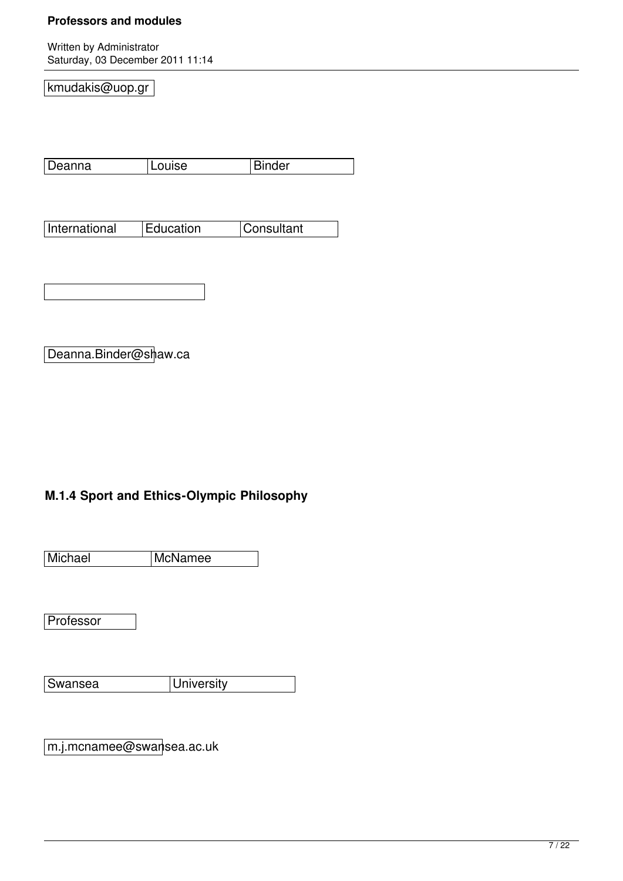Written by Administrator Saturday, 03 December 2011 11:14

kmudakis@uop.gr

| Deanna | Louise | <b>Binder</b> |
|--------|--------|---------------|
|        |        |               |

| International | <b>Education</b> | <b>Consultant</b> |
|---------------|------------------|-------------------|
|               |                  |                   |

Deanna.Binder@shaw.ca

## **M.1.4 Sport and Ethics-Olympic Philosophy**

Michael McNamee

**Professor** 

Swansea **University** 

m.j.mcnamee@swansea.ac.uk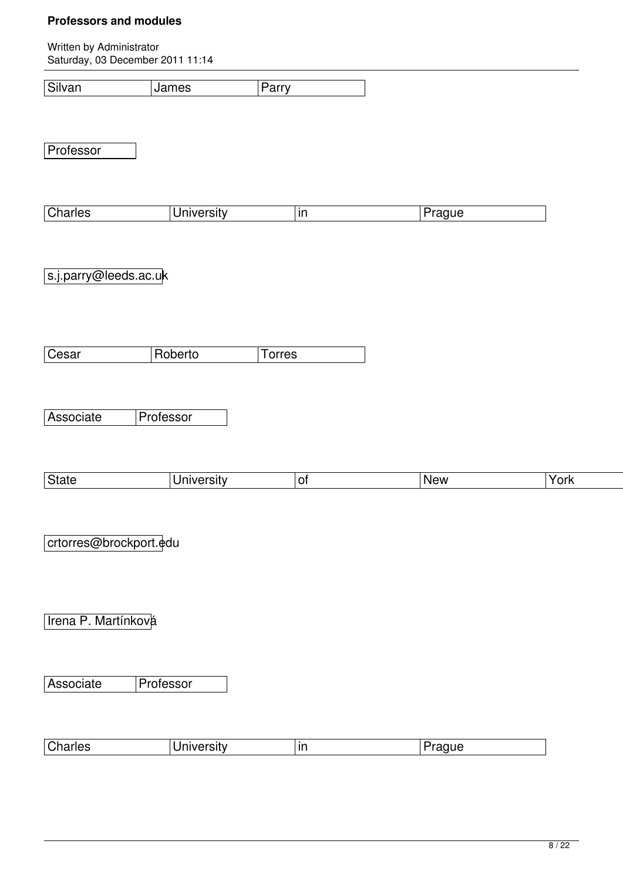Written by Administrator Saturday, 03 December 2011 11:14

Silvan James Parry

**Professor** 

| $C$ <sub>ho</sub><br>arles<br><u>ona</u><br>. | . | 'ır |  |
|-----------------------------------------------|---|-----|--|

s.j.parry@leeds.ac.uk

Cesar Roberto Torres

Associate Professor

| $\sim$ | . נ | . . | <b>New</b> | ≅ri∠ ∶    |
|--------|-----|-----|------------|-----------|
| ww     |     |     | ____       | $\ddotsc$ |

crtorres@brockport.edu

Irena P. Martínková

Associate Professor

| $\sim$ h.<br> Charles<br>.<br>∟מוו∩ר<br>ın<br>SITV<br>uu |  |
|----------------------------------------------------------|--|
|----------------------------------------------------------|--|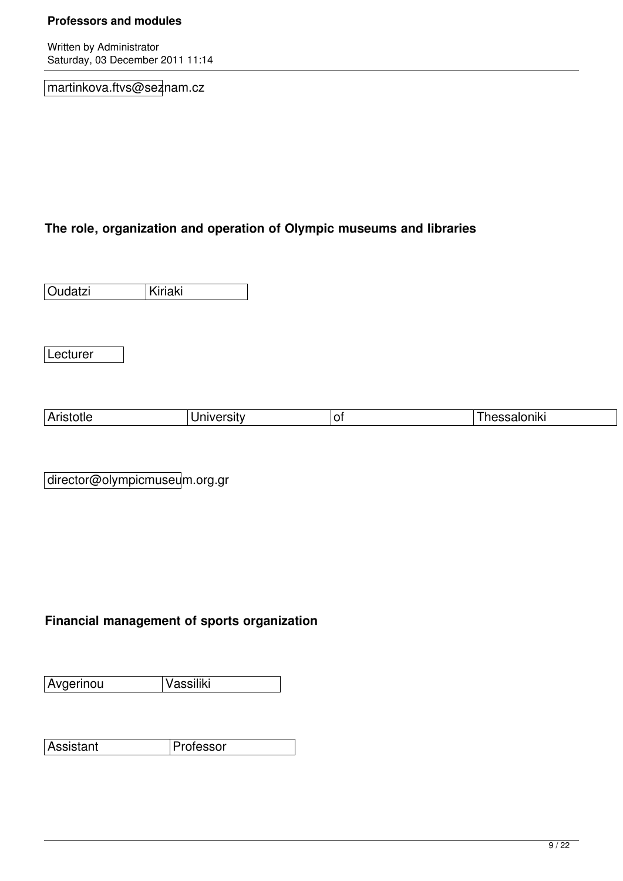Written by Administrator Saturday, 03 December 2011 11:14

martinkova.ftvs@seznam.cz

## **The role, organization and operation of Olympic museums and libraries**

Oudatzi Kiriaki

Lecturer

| - |  |  |
|---|--|--|
|   |  |  |

director@olympicmuseum.org.gr

## **Financial management of sports organization**

Avgerinou Vassiliki

Assistant Professor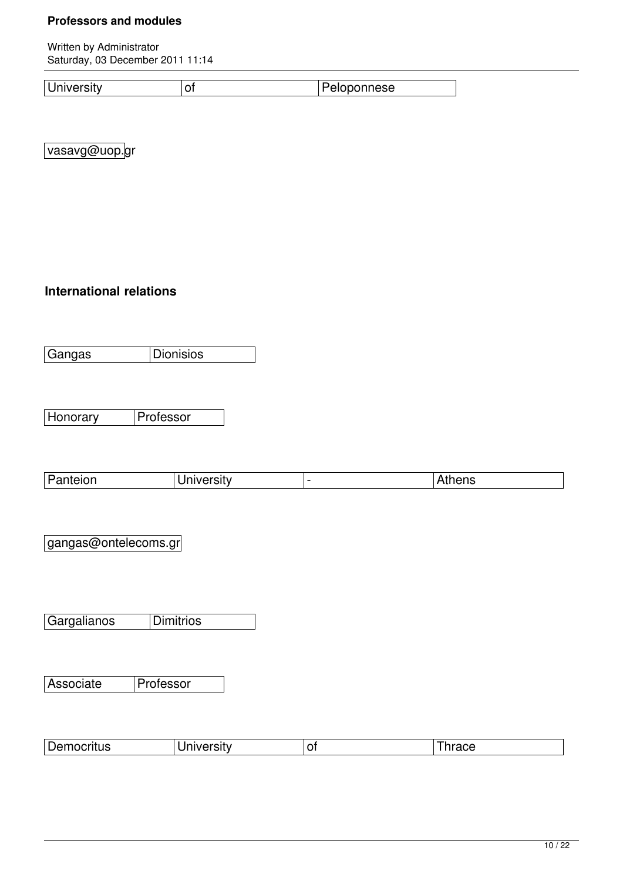Written by Administrator Saturday, 03 December 2011 11:14

University of Peloponnese

vasavg@uop.gr

## **International relations**

Gangas Dionisios

Honorary **Professor** 

| Panteion<br>-- - | 3 ISIIV | $\sim$ 12 $\sim$<br>nens |
|------------------|---------|--------------------------|

gangas@ontelecoms.gr

Gargalianos Dimitrios

Associate Professor

| ה ו<br>∣Democritus<br>.<br>------ | - | --- - |
|-----------------------------------|---|-------|
|-----------------------------------|---|-------|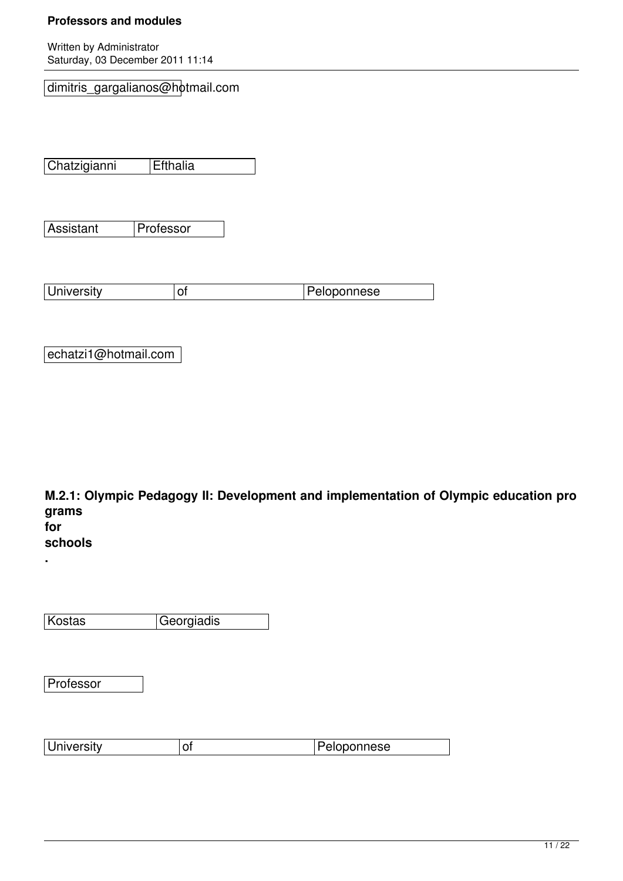Written by Administrator Saturday, 03 December 2011 11:14

dimitris\_gargalianos@hotmail.com

Chatzigianni Efthalia

Assistant Professor

University of Peloponnese

echatzi1@hotmail.com

**M.2.1: Olympic Pedagogy II: Development and implementation of Olympic education pro grams for**

## **schools**

**.**

Kostas Georgiadis

**Professor** 

| المتحدد والمالي<br><i>A</i> IIVERSILY | ∼ | aloponnese |
|---------------------------------------|---|------------|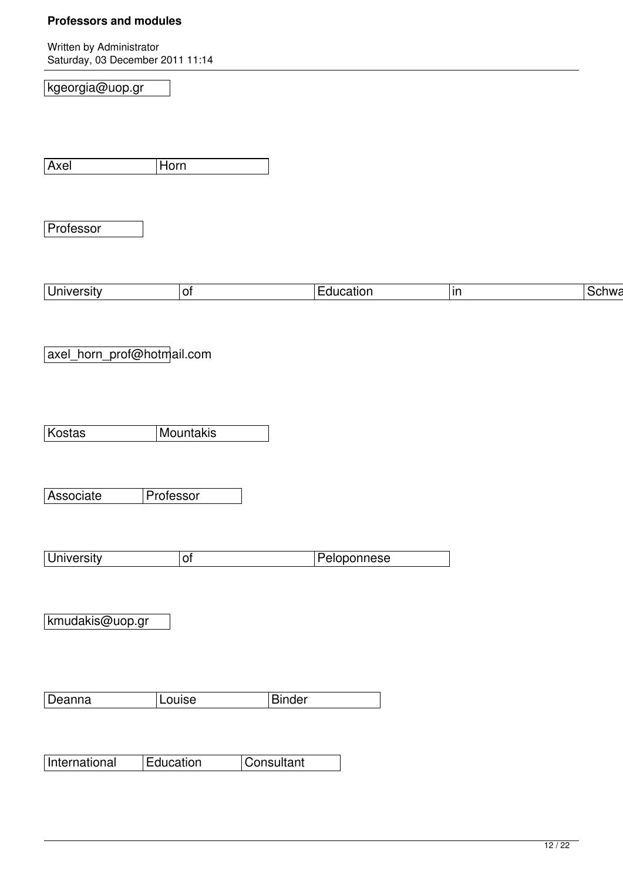Written by Administrator Saturday, 03 December 2011 11:14

| kgeorgia@uop.gr |  |  |
|-----------------|--|--|
|                 |  |  |

Axel Horn

**Professor** 

|  | University<br>O1<br>. <u>.</u> .<br>₩<br>catio<br>אור<br>н. |
|--|-------------------------------------------------------------|
|--|-------------------------------------------------------------|

axel\_horn\_prof@hotmail.com

Kostas Mountakis

Associate Professor

| ∣University | Peloponnese |
|-------------|-------------|

kmudakis@uop.gr

Deanna Louise Binder

International Education Consultant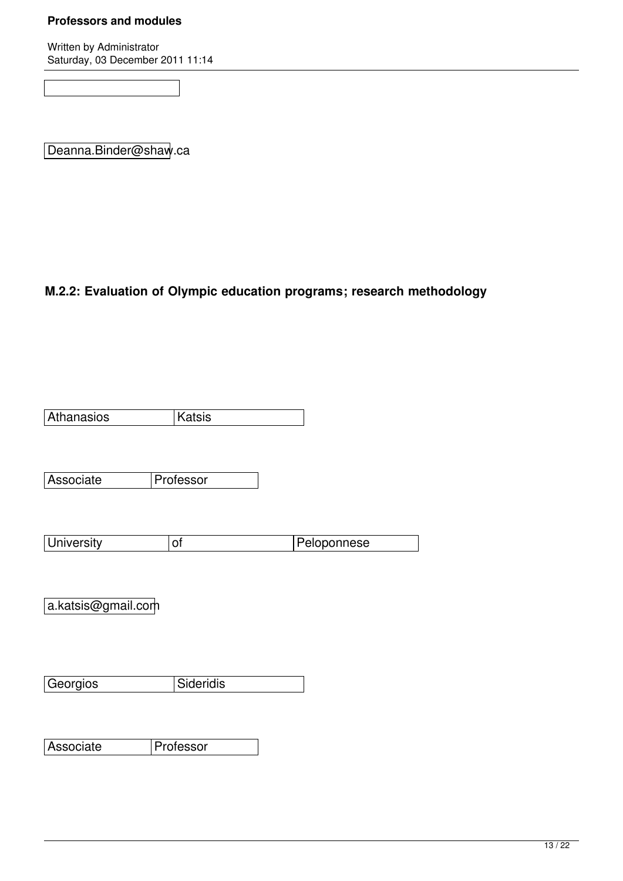Written by Administrator Saturday, 03 December 2011 11:14

Deanna.Binder@shaw.ca

### **M.2.2: Evaluation of Olympic education programs; research methodology**

| Athanasios | f |
|------------|---|
|            |   |

| Associate | Professor |
|-----------|-----------|
|           |           |

| University | Peloponnese |
|------------|-------------|

a.katsis@gmail.com

Georgios Sideridis

Associate Professor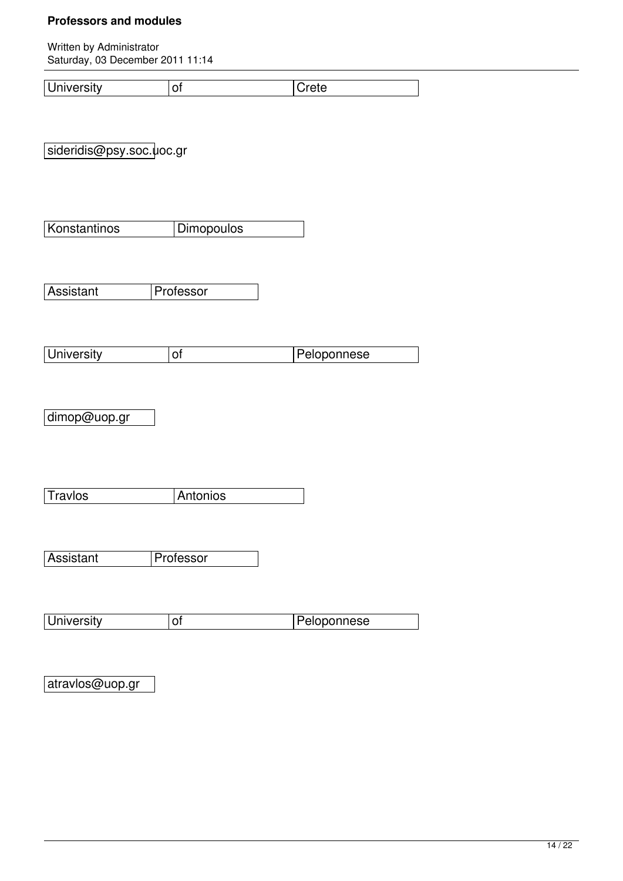Written by Administrator Saturday, 03 December 2011 11:14

sideridis@psy.soc.uoc.gr

Konstantinos Dimopoulos

Assistant Professor

| University | Peloponnese |
|------------|-------------|

dimop@uop.gr

Travlos **Antonios** 

| Professor<br>Assistant |  |
|------------------------|--|
|------------------------|--|

| University | Peloponnese |
|------------|-------------|

atravlos@uop.gr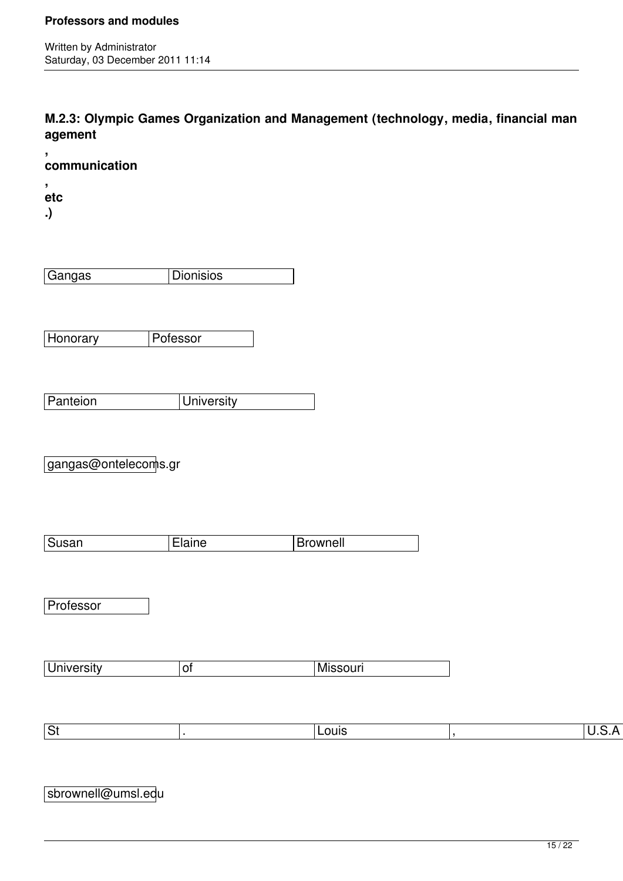**M.2.3: Olympic Games Organization and Management (technology, media, financial man agement**

**, communication**

**, etc**

**.)**

| angas<br>Gź<br>$-$ | ้วnisios |
|--------------------|----------|
|                    |          |

Honorary Pofessor

| Panteion | Jniversity |
|----------|------------|

gangas@ontelecoms.gr

| Susan | :laıne | <b>Brownell</b> |
|-------|--------|-----------------|

**Professor** 

| <b>University</b><br>. . | Missouri |
|--------------------------|----------|
|--------------------------|----------|

|  | _ouis<br>. |
|--|------------|
|--|------------|

| sbrownell@umsl.edu |  |
|--------------------|--|
|--------------------|--|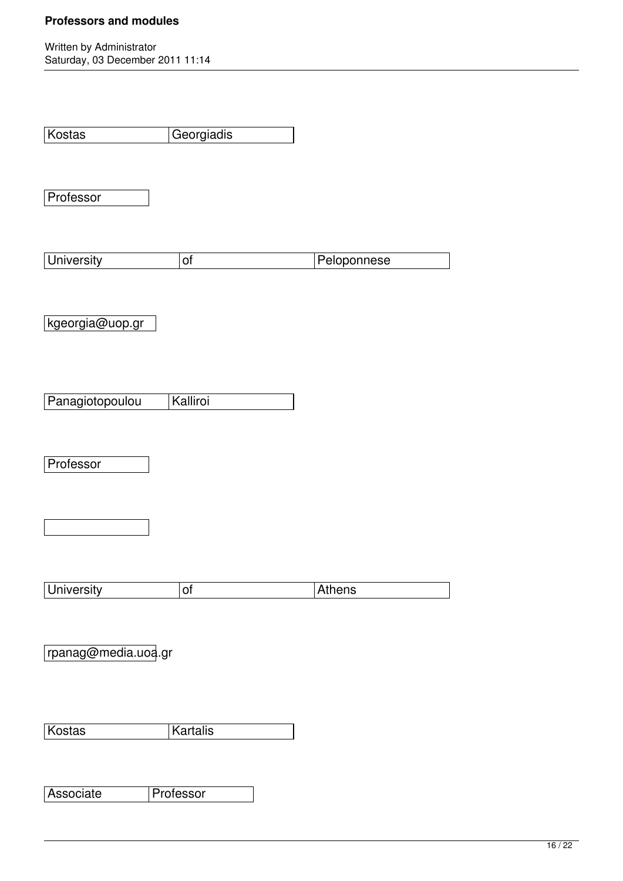| Kostas              | Georgiadis |             |
|---------------------|------------|-------------|
|                     |            |             |
|                     |            |             |
| Professor           |            |             |
|                     |            |             |
|                     |            |             |
| <b>University</b>   | of         | Peloponnese |
|                     |            |             |
|                     |            |             |
|                     |            |             |
| kgeorgia@uop.gr     |            |             |
|                     |            |             |
|                     |            |             |
|                     |            |             |
| Panagiotopoulou     | Kalliroi   |             |
|                     |            |             |
|                     |            |             |
| Professor           |            |             |
|                     |            |             |
|                     |            |             |
|                     |            |             |
|                     |            |             |
|                     |            |             |
|                     |            |             |
| University          | of         | Athens      |
|                     |            |             |
|                     |            |             |
| rpanag@media.uoa.gr |            |             |
|                     |            |             |
|                     |            |             |
|                     |            |             |
| Kostas              | Kartalis   |             |
|                     |            |             |
|                     |            |             |
|                     |            |             |
| Associate           | Professor  |             |
|                     |            |             |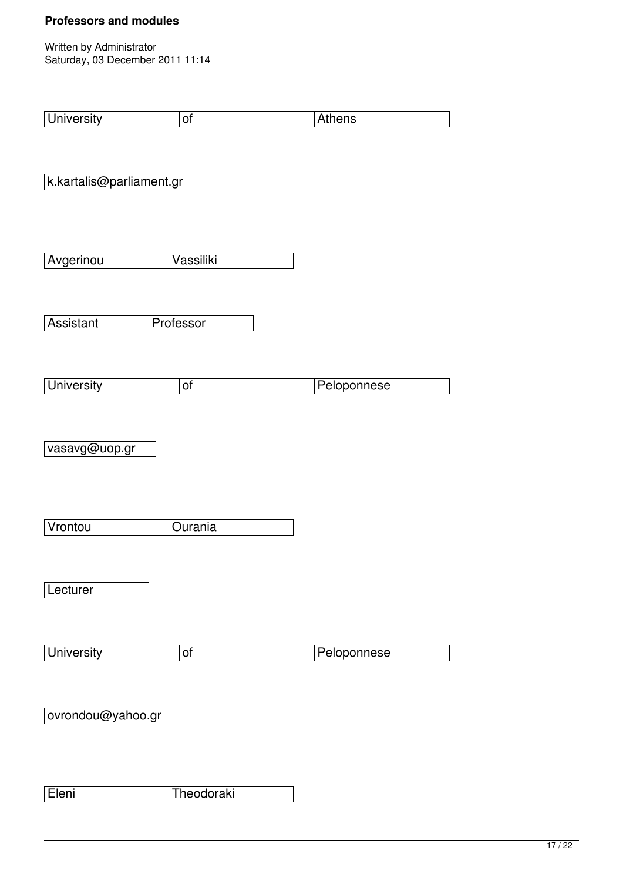| <b>University</b>        | of         | Athens      |
|--------------------------|------------|-------------|
| k.kartalis@parliament.gr |            |             |
| Avgerinou                | Vassiliki  |             |
| Assistant                | Professor  |             |
| <b>University</b>        | of         | Peloponnese |
| vasavg@uop.gr            |            |             |
| Vrontou                  | Ourania    |             |
| Lecturer                 |            |             |
| <b>University</b>        | of         | Peloponnese |
| ovrondou@yahoo.gr        |            |             |
| Eleni                    | Theodoraki |             |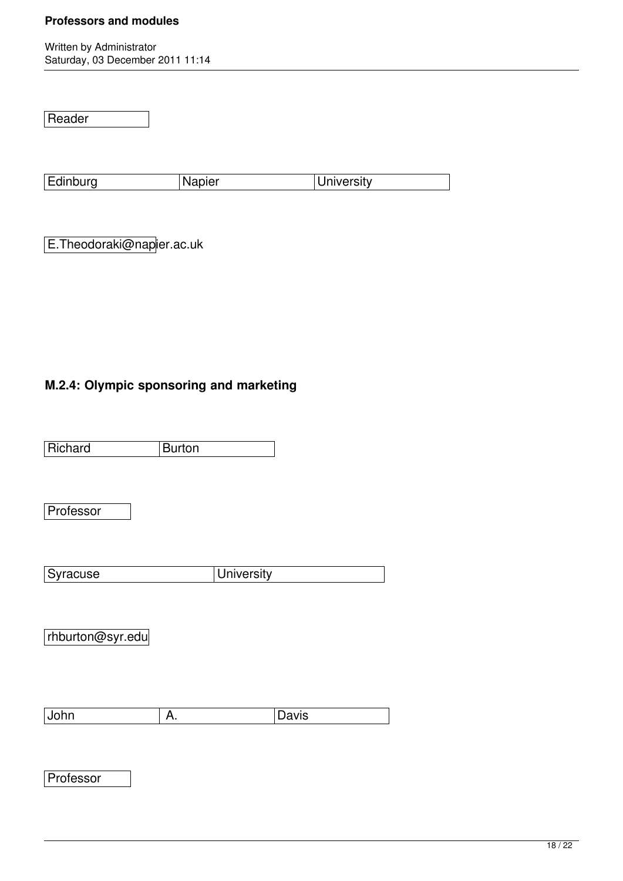Written by Administrator Saturday, 03 December 2011 11:14

Reader

Edinburg Napier University

E.Theodoraki@napier.ac.uk

### **M.2.4: Olympic sponsoring and marketing**

Richard Burton

Professor

Syracuse University

rhburton@syr.edu

John A. Davis

**Professor**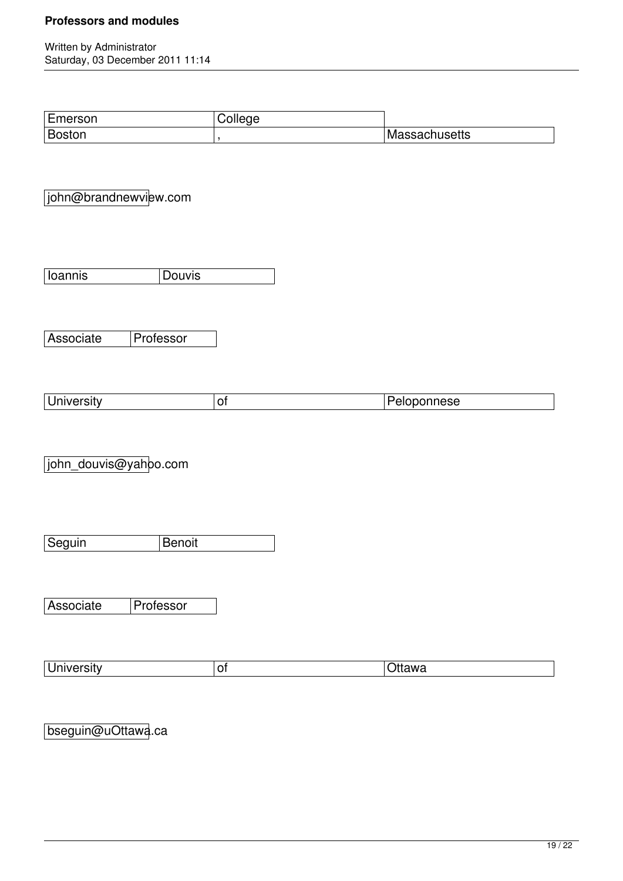Written by Administrator Saturday, 03 December 2011 11:14

| Emerson | ;ollege |               |
|---------|---------|---------------|
| Boston  |         | Massachusetts |

john@brandnewview.com

Associate Professor

|  | -<br>. |
|--|--------|
|  |        |

john\_douvis@yahoo.com

Seguin Benoit

Associate Professor

| Iniversity<br>a inivers<br>$\cdot$ | -<br>יש | ≀ttawa |
|------------------------------------|---------|--------|
|------------------------------------|---------|--------|

bseguin@uOttawa.ca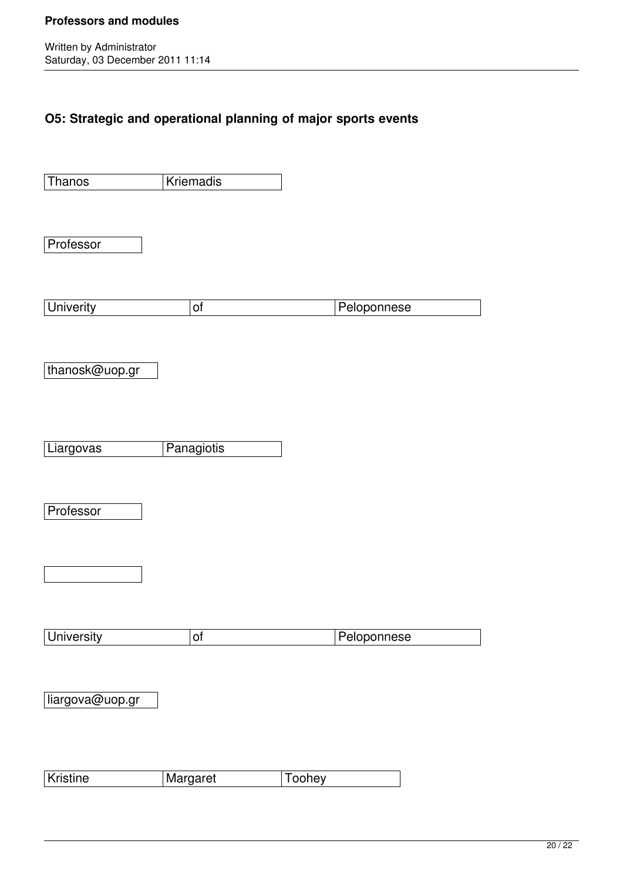Written by Administrator Saturday, 03 December 2011 11:14

## **O5: Strategic and operational planning of major sports events**

| Thanos            | <b>Kriemadis</b> |               |             |  |
|-------------------|------------------|---------------|-------------|--|
|                   |                  |               |             |  |
|                   |                  |               |             |  |
| Professor         |                  |               |             |  |
|                   |                  |               |             |  |
| <b>Univerity</b>  | $\mathsf{of}$    |               | Peloponnese |  |
|                   |                  |               |             |  |
|                   |                  |               |             |  |
| thanosk@uop.gr    |                  |               |             |  |
|                   |                  |               |             |  |
|                   |                  |               |             |  |
| Liargovas         | Panagiotis       |               |             |  |
|                   |                  |               |             |  |
| Professor         |                  |               |             |  |
|                   |                  |               |             |  |
|                   |                  |               |             |  |
|                   |                  |               |             |  |
|                   |                  |               |             |  |
| <b>University</b> | $\circ$          |               | Peloponnese |  |
|                   |                  |               |             |  |
| liargova@uop.gr   |                  |               |             |  |
|                   |                  |               |             |  |
|                   |                  |               |             |  |
|                   |                  |               |             |  |
| Kristine          | Margaret         | <b>Toohey</b> |             |  |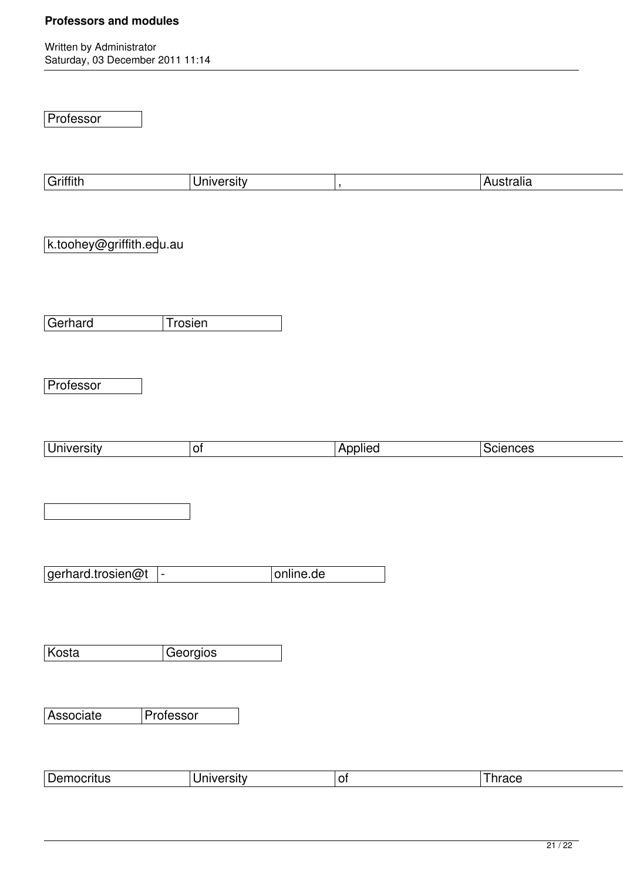Written by Administrator Saturday, 03 December 2011 11:14

Professor

| Griffith                                      | <b>University</b> | $\,$           | Australia |
|-----------------------------------------------|-------------------|----------------|-----------|
|                                               |                   |                |           |
|                                               |                   |                |           |
| k.toohey@griffith.edu.au                      |                   |                |           |
|                                               |                   |                |           |
|                                               |                   |                |           |
|                                               |                   |                |           |
|                                               |                   |                |           |
| Gerhard<br>Trosien                            |                   |                |           |
|                                               |                   |                |           |
|                                               |                   |                |           |
| Professor                                     |                   |                |           |
|                                               |                   |                |           |
|                                               |                   |                |           |
|                                               |                   |                |           |
| <b>University</b>                             | $\mathsf{d}$      | Applied        | Sciences  |
|                                               |                   |                |           |
|                                               |                   |                |           |
|                                               |                   |                |           |
|                                               |                   |                |           |
|                                               |                   |                |           |
|                                               |                   |                |           |
| gerhard.trosien@t<br>$\overline{\phantom{0}}$ | online.de         |                |           |
|                                               |                   |                |           |
|                                               |                   |                |           |
|                                               |                   |                |           |
|                                               |                   |                |           |
| Kosta                                         | Georgios          |                |           |
|                                               |                   |                |           |
|                                               |                   |                |           |
| Associate<br>Professor                        |                   |                |           |
|                                               |                   |                |           |
|                                               |                   |                |           |
|                                               |                   |                |           |
| Democritus                                    | <b>University</b> | o <sub>f</sub> | Thrace    |